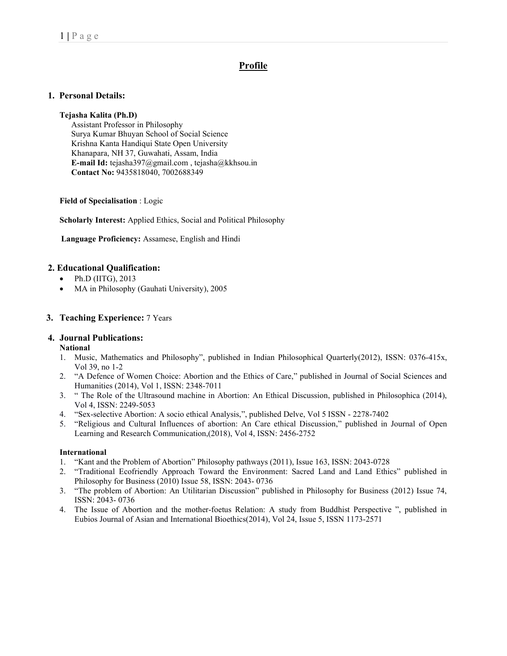# Profile

# 1. Personal Details:

### Tejasha Kalita (Ph.D)

 Assistant Professor in Philosophy Surya Kumar Bhuyan School of Social Science Krishna Kanta Handiqui State Open University Khanapara, NH 37, Guwahati, Assam, India E-mail Id: tejasha397@gmail.com , tejasha@kkhsou.in Contact No: 9435818040, 7002688349

Field of Specialisation : Logic

Scholarly Interest: Applied Ethics, Social and Political Philosophy

Language Proficiency: Assamese, English and Hindi

### 2. Educational Qualification:

- Ph.D (IITG), 2013
- MA in Philosophy (Gauhati University), 2005

#### 3. Teaching Experience: 7 Years

### 4. Journal Publications:

#### National

- 1. Music, Mathematics and Philosophy", published in Indian Philosophical Quarterly(2012), ISSN: 0376-415x, Vol 39, no 1-2
- 2. "A Defence of Women Choice: Abortion and the Ethics of Care," published in Journal of Social Sciences and Humanities (2014), Vol 1, ISSN: 2348-7011
- 3. " The Role of the Ultrasound machine in Abortion: An Ethical Discussion, published in Philosophica (2014), Vol 4, ISSN: 2249-5053
- 4. "Sex-selective Abortion: A socio ethical Analysis,", published Delve, Vol 5 ISSN 2278-7402
- 5. "Religious and Cultural Influences of abortion: An Care ethical Discussion," published in Journal of Open Learning and Research Communication,(2018), Vol 4, ISSN: 2456-2752

### International

- 1. "Kant and the Problem of Abortion" Philosophy pathways (2011), Issue 163, ISSN: 2043-0728
- 2. "Traditional Ecofriendly Approach Toward the Environment: Sacred Land and Land Ethics" published in Philosophy for Business (2010) Issue 58, ISSN: 2043- 0736
- 3. "The problem of Abortion: An Utilitarian Discussion" published in Philosophy for Business (2012) Issue 74, ISSN: 2043- 0736
- 4. The Issue of Abortion and the mother-foetus Relation: A study from Buddhist Perspective ", published in Eubios Journal of Asian and International Bioethics(2014), Vol 24, Issue 5, ISSN 1173-2571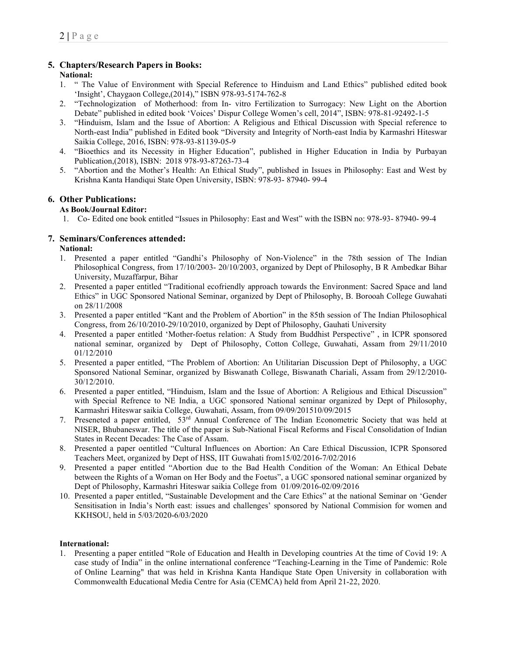# 5. Chapters/Research Papers in Books:

## National:

- 1. " The Value of Environment with Special Reference to Hinduism and Land Ethics" published edited book 'Insight', Chaygaon College,(2014)," ISBN 978-93-5174-762-8
- 2. "Technologization of Motherhood: from In- vitro Fertilization to Surrogacy: New Light on the Abortion Debate" published in edited book 'Voices' Dispur College Women's cell, 2014", ISBN: 978-81-92492-1-5
- 3. "Hinduism, Islam and the Issue of Abortion: A Religious and Ethical Discussion with Special reference to North-east India" published in Edited book "Diversity and Integrity of North-east India by Karmashri Hiteswar Saikia College, 2016, ISBN: 978-93-81139-05-9
- 4. "Bioethics and its Necessity in Higher Education", published in Higher Education in India by Purbayan Publication,(2018), ISBN: 2018 978-93-87263-73-4
- 5. "Abortion and the Mother's Health: An Ethical Study", published in Issues in Philosophy: East and West by Krishna Kanta Handiqui State Open University, ISBN: 978-93- 87940- 99-4

# 6. Other Publications:

# As Book/Journal Editor:

1. Co- Edited one book entitled "Issues in Philosophy: East and West" with the ISBN no: 978-93- 87940- 99-4

# 7. Seminars/Conferences attended:

## National:

- 1. Presented a paper entitled "Gandhi's Philosophy of Non-Violence" in the 78th session of The Indian Philosophical Congress, from 17/10/2003- 20/10/2003, organized by Dept of Philosophy, B R Ambedkar Bihar University, Muzaffarpur, Bihar
- 2. Presented a paper entitled "Traditional ecofriendly approach towards the Environment: Sacred Space and land Ethics" in UGC Sponsored National Seminar, organized by Dept of Philosophy, B. Borooah College Guwahati on 28/11/2008
- 3. Presented a paper entitled "Kant and the Problem of Abortion" in the 85th session of The Indian Philosophical Congress, from 26/10/2010-29/10/2010, organized by Dept of Philosophy, Gauhati University
- 4. Presented a paper entitled 'Mother-foetus relation: A Study from Buddhist Perspective" , in ICPR sponsored national seminar, organized by Dept of Philosophy, Cotton College, Guwahati, Assam from 29/11/2010 01/12/2010
- 5. Presented a paper entitled, "The Problem of Abortion: An Utilitarian Discussion Dept of Philosophy, a UGC Sponsored National Seminar, organized by Biswanath College, Biswanath Chariali, Assam from 29/12/2010- 30/12/2010.
- 6. Presented a paper entitled, "Hinduism, Islam and the Issue of Abortion: A Religious and Ethical Discussion" with Special Refrence to NE India, a UGC sponsored National seminar organized by Dept of Philosophy, Karmashri Hiteswar saikia College, Guwahati, Assam, from 09/09/201510/09/2015
- 7. Preseneted a paper entitled,  $53<sup>rd</sup>$  Annual Conference of The Indian Econometric Society that was held at NISER, Bhubaneswar. The title of the paper is Sub-National Fiscal Reforms and Fiscal Consolidation of Indian States in Recent Decades: The Case of Assam.
- 8. Presented a paper oentitled "Cultural Influences on Abortion: An Care Ethical Discussion, ICPR Sponsored Teachers Meet, organized by Dept of HSS, IIT Guwahati from15/02/2016-7/02/2016
- 9. Presented a paper entitled "Abortion due to the Bad Health Condition of the Woman: An Ethical Debate between the Rights of a Woman on Her Body and the Foetus", a UGC sponsored national seminar organized by Dept of Philosophy, Karmashri Hiteswar saikia College from 01/09/2016-02/09/2016
- 10. Presented a paper entitled, "Sustainable Development and the Care Ethics" at the national Seminar on 'Gender Sensitisation in India's North east: issues and challenges' sponsored by National Commision for women and KKHSOU, held in 5/03/2020-6/03/2020

# International:

1. Presenting a paper entitled "Role of Education and Health in Developing countries At the time of Covid 19: A case study of India" in the online international conference "Teaching-Learning in the Time of Pandemic: Role of Online Learning" that was held in Krishna Kanta Handique State Open University in collaboration with Commonwealth Educational Media Centre for Asia (CEMCA) held from April 21-22, 2020.